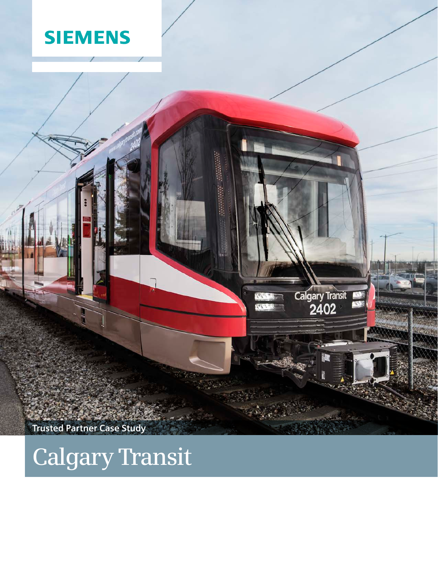



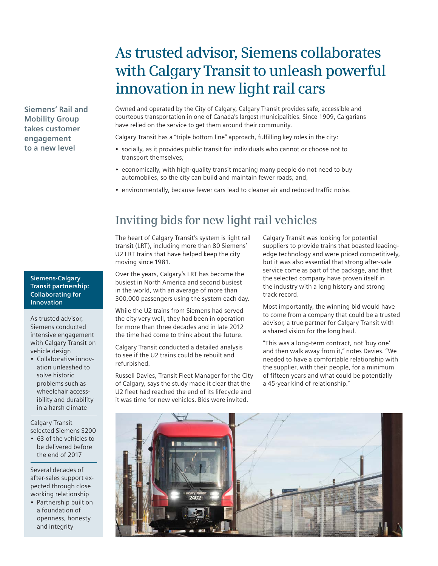# **As trusted advisor, Siemens collaborates with Calgary Transit to unleash powerful innovation in new light rail cars**

Owned and operated by the City of Calgary, Calgary Transit provides safe, accessible and courteous transportation in one of Canada's largest municipalities. Since 1909, Calgarians have relied on the service to get them around their community.

Calgary Transit has a "triple bottom line" approach, fulfilling key roles in the city:

- socially, as it provides public transit for individuals who cannot or choose not to transport themselves;
- economically, with high-quality transit meaning many people do not need to buy automobiles, so the city can build and maintain fewer roads; and,
- environmentally, because fewer cars lead to cleaner air and reduced traffic noise.

## **Inviting bids for new light rail vehicles**

The heart of Calgary Transit's system is light rail transit (LRT), including more than 80 Siemens' U2 LRT trains that have helped keep the city moving since 1981.

Over the years, Calgary's LRT has become the busiest in North America and second busiest in the world, with an average of more than 300,000 passengers using the system each day.

While the U2 trains from Siemens had served the city very well, they had been in operation for more than three decades and in late 2012 the time had come to think about the future.

Calgary Transit conducted a detailed analysis to see if the U2 trains could be rebuilt and refurbished.

Russell Davies, Transit Fleet Manager for the City of Calgary, says the study made it clear that the U2 fleet had reached the end of its lifecycle and it was time for new vehicles. Bids were invited.

Calgary Transit was looking for potential suppliers to provide trains that boasted leadingedge technology and were priced competitively, but it was also essential that strong after-sale service come as part of the package, and that the selected company have proven itself in the industry with a long history and strong track record.

Most importantly, the winning bid would have to come from a company that could be a trusted advisor, a true partner for Calgary Transit with a shared vision for the long haul.

"This was a long-term contract, not 'buy one' and then walk away from it," notes Davies. "We needed to have a comfortable relationship with the supplier, with their people, for a minimum of fifteen years and what could be potentially a 45-year kind of relationship."



**Siemens-Calgary Transit partnership: Collaborating for Innovation**

**Siemens' Rail and Mobility Group takes customer engagement to a new level** 

As trusted advisor, Siemens conducted intensive engagement with Calgary Transit on vehicle design

• Collaborative innovation unleashed to solve historic problems such as wheelchair accessibility and durability in a harsh climate

Calgary Transit selected Siemens S200

• 63 of the vehicles to be delivered before the end of 2017

Several decades of after-sales support expected through close working relationship

• Partnership built on a foundation of openness, honesty and integrity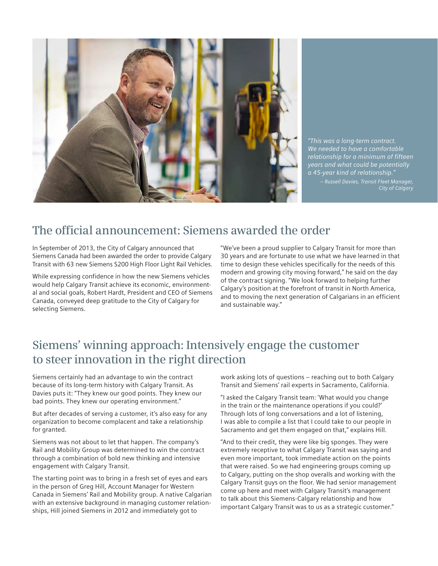

*"This was a long-term contract. We needed to have a comfortable relationship for a minimum of fifteen years and what could be potentially a 45-year kind of relationship."* 

*– Russell Davies, Transit Fleet Manager, City of Calgary*

### **The official announcement: Siemens awarded the order**

In September of 2013, the City of Calgary announced that Siemens Canada had been awarded the order to provide Calgary Transit with 63 new Siemens S200 High Floor Light Rail Vehicles.

While expressing confidence in how the new Siemens vehicles would help Calgary Transit achieve its economic, environmental and social goals, Robert Hardt, President and CEO of Siemens Canada, conveyed deep gratitude to the City of Calgary for selecting Siemens.

"We've been a proud supplier to Calgary Transit for more than 30 years and are fortunate to use what we have learned in that time to design these vehicles specifically for the needs of this modern and growing city moving forward," he said on the day of the contract signing. "We look forward to helping further Calgary's position at the forefront of transit in North America, and to moving the next generation of Calgarians in an efficient and sustainable way."

## **Siemens' winning approach: Intensively engage the customer to steer innovation in the right direction**

Siemens certainly had an advantage to win the contract because of its long-term history with Calgary Transit. As Davies puts it: "They knew our good points. They knew our bad points. They knew our operating environment."

But after decades of serving a customer, it's also easy for any organization to become complacent and take a relationship for granted.

Siemens was not about to let that happen. The company's Rail and Mobility Group was determined to win the contract through a combination of bold new thinking and intensive engagement with Calgary Transit.

The starting point was to bring in a fresh set of eyes and ears in the person of Greg Hill, Account Manager for Western Canada in Siemens' Rail and Mobility group. A native Calgarian with an extensive background in managing customer relationships, Hill joined Siemens in 2012 and immediately got to

work asking lots of questions – reaching out to both Calgary Transit and Siemens' rail experts in Sacramento, California.

"I asked the Calgary Transit team: 'What would you change in the train or the maintenance operations if you could?' Through lots of long conversations and a lot of listening, I was able to compile a list that I could take to our people in Sacramento and get them engaged on that," explains Hill.

"And to their credit, they were like big sponges. They were extremely receptive to what Calgary Transit was saying and even more important, took immediate action on the points that were raised. So we had engineering groups coming up to Calgary, putting on the shop overalls and working with the Calgary Transit guys on the floor. We had senior management come up here and meet with Calgary Transit's management to talk about this Siemens-Calgary relationship and how important Calgary Transit was to us as a strategic customer."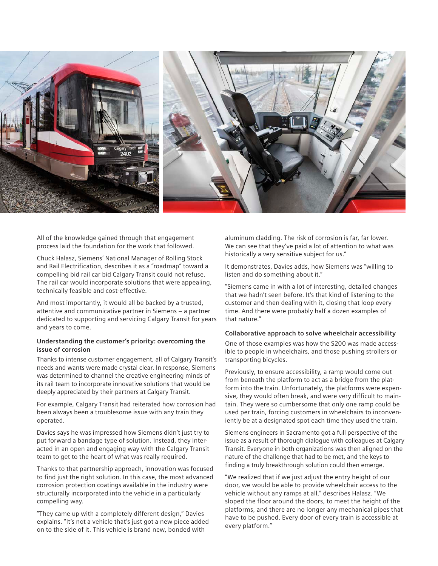

All of the knowledge gained through that engagement process laid the foundation for the work that followed.

Chuck Halasz, Siemens' National Manager of Rolling Stock and Rail Electrification, describes it as a "roadmap" toward a compelling bid rail car bid Calgary Transit could not refuse. The rail car would incorporate solutions that were appealing, technically feasible and cost-effective.

And most importantly, it would all be backed by a trusted, attentive and communicative partner in Siemens – a partner dedicated to supporting and servicing Calgary Transit for years and years to come.

#### **Understanding the customer's priority: overcoming the issue of corrosion**

Thanks to intense customer engagement, all of Calgary Transit's needs and wants were made crystal clear. In response, Siemens was determined to channel the creative engineering minds of its rail team to incorporate innovative solutions that would be deeply appreciated by their partners at Calgary Transit.

For example, Calgary Transit had reiterated how corrosion had been always been a troublesome issue with any train they operated.

Davies says he was impressed how Siemens didn't just try to put forward a bandage type of solution. Instead, they interacted in an open and engaging way with the Calgary Transit team to get to the heart of what was really required.

Thanks to that partnership approach, innovation was focused to find just the right solution. In this case, the most advanced corrosion protection coatings available in the industry were structurally incorporated into the vehicle in a particularly compelling way.

"They came up with a completely different design," Davies explains. "It's not a vehicle that's just got a new piece added on to the side of it. This vehicle is brand new, bonded with

aluminum cladding. The risk of corrosion is far, far lower. We can see that they've paid a lot of attention to what was historically a very sensitive subject for us."

It demonstrates, Davies adds, how Siemens was "willing to listen and do something about it."

"Siemens came in with a lot of interesting, detailed changes that we hadn't seen before. It's that kind of listening to the customer and then dealing with it, closing that loop every time. And there were probably half a dozen examples of that nature."

#### **Collaborative approach to solve wheelchair accessibility**

One of those examples was how the S200 was made accessible to people in wheelchairs, and those pushing strollers or transporting bicycles.

Previously, to ensure accessibility, a ramp would come out from beneath the platform to act as a bridge from the platform into the train. Unfortunately, the platforms were expensive, they would often break, and were very difficult to maintain. They were so cumbersome that only one ramp could be used per train, forcing customers in wheelchairs to inconveniently be at a designated spot each time they used the train.

Siemens engineers in Sacramento got a full perspective of the issue as a result of thorough dialogue with colleagues at Calgary Transit. Everyone in both organizations was then aligned on the nature of the challenge that had to be met, and the keys to finding a truly breakthrough solution could then emerge.

"We realized that if we just adjust the entry height of our door, we would be able to provide wheelchair access to the vehicle without any ramps at all," describes Halasz. "We sloped the floor around the doors, to meet the height of the platforms, and there are no longer any mechanical pipes that have to be pushed. Every door of every train is accessible at every platform."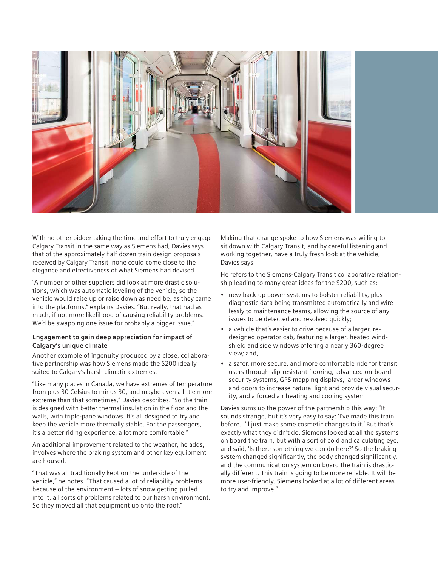

With no other bidder taking the time and effort to truly engage Calgary Transit in the same way as Siemens had, Davies says that of the approximately half dozen train design proposals received by Calgary Transit, none could come close to the elegance and effectiveness of what Siemens had devised.

"A number of other suppliers did look at more drastic solutions, which was automatic leveling of the vehicle, so the vehicle would raise up or raise down as need be, as they came into the platforms," explains Davies. "But really, that had as much, if not more likelihood of causing reliability problems. We'd be swapping one issue for probably a bigger issue."

#### **Engagement to gain deep appreciation for impact of Calgary's unique climate**

Another example of ingenuity produced by a close, collaborative partnership was how Siemens made the S200 ideally suited to Calgary's harsh climatic extremes.

"Like many places in Canada, we have extremes of temperature from plus 30 Celsius to minus 30, and maybe even a little more extreme than that sometimes," Davies describes. "So the train is designed with better thermal insulation in the floor and the walls, with triple-pane windows. It's all designed to try and keep the vehicle more thermally stable. For the passengers, it's a better riding experience, a lot more comfortable."

An additional improvement related to the weather, he adds, involves where the braking system and other key equipment are housed.

"That was all traditionally kept on the underside of the vehicle," he notes. "That caused a lot of reliability problems because of the environment – lots of snow getting pulled into it, all sorts of problems related to our harsh environment. So they moved all that equipment up onto the roof."

Making that change spoke to how Siemens was willing to sit down with Calgary Transit, and by careful listening and working together, have a truly fresh look at the vehicle, Davies says.

He refers to the Siemens-Calgary Transit collaborative relationship leading to many great ideas for the S200, such as:

- new back-up power systems to bolster reliability, plus diagnostic data being transmitted automatically and wirelessly to maintenance teams, allowing the source of any issues to be detected and resolved quickly;
- a vehicle that's easier to drive because of a larger, redesigned operator cab, featuring a larger, heated windshield and side windows offering a nearly 360-degree view; and,
- a safer, more secure, and more comfortable ride for transit users through slip-resistant flooring, advanced on-board security systems, GPS mapping displays, larger windows and doors to increase natural light and provide visual security, and a forced air heating and cooling system.

Davies sums up the power of the partnership this way: "It sounds strange, but it's very easy to say: 'I've made this train before. I'll just make some cosmetic changes to it.' But that's exactly what they didn't do. Siemens looked at all the systems on board the train, but with a sort of cold and calculating eye, and said, 'Is there something we can do here?' So the braking system changed significantly, the body changed significantly, and the communication system on board the train is drastically different. This train is going to be more reliable. It will be more user-friendly. Siemens looked at a lot of different areas to try and improve."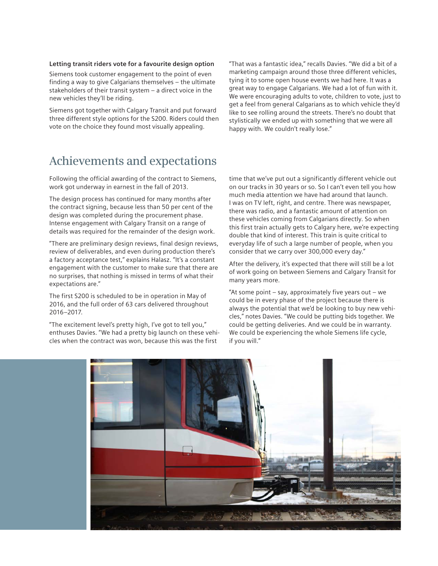#### **Letting transit riders vote for a favourite design option**

Siemens took customer engagement to the point of even finding a way to give Calgarians themselves – the ultimate stakeholders of their transit system – a direct voice in the new vehicles they'll be riding.

Siemens got together with Calgary Transit and put forward three different style options for the S200. Riders could then vote on the choice they found most visually appealing.

"That was a fantastic idea," recalls Davies. "We did a bit of a marketing campaign around those three different vehicles, tying it to some open house events we had here. It was a great way to engage Calgarians. We had a lot of fun with it. We were encouraging adults to vote, children to vote, just to get a feel from general Calgarians as to which vehicle they'd like to see rolling around the streets. There's no doubt that stylistically we ended up with something that we were all happy with. We couldn't really lose."

### **Achievements and expectations**

Following the official awarding of the contract to Siemens, work got underway in earnest in the fall of 2013.

The design process has continued for many months after the contract signing, because less than 50 per cent of the design was completed during the procurement phase. Intense engagement with Calgary Transit on a range of details was required for the remainder of the design work.

"There are preliminary design reviews, final design reviews, review of deliverables, and even during production there's a factory acceptance test," explains Halasz. "It's a constant engagement with the customer to make sure that there are no surprises, that nothing is missed in terms of what their expectations are."

The first S200 is scheduled to be in operation in May of 2016, and the full order of 63 cars delivered throughout 2016–2017.

"The excitement level's pretty high, I've got to tell you," enthuses Davies. "We had a pretty big launch on these vehicles when the contract was won, because this was the first

time that we've put out a significantly different vehicle out on our tracks in 30 years or so. So I can't even tell you how much media attention we have had around that launch. I was on TV left, right, and centre. There was newspaper, there was radio, and a fantastic amount of attention on these vehicles coming from Calgarians directly. So when this first train actually gets to Calgary here, we're expecting double that kind of interest. This train is quite critical to everyday life of such a large number of people, when you consider that we carry over 300,000 every day."

After the delivery, it's expected that there will still be a lot of work going on between Siemens and Calgary Transit for many years more.

"At some point – say, approximately five years out – we could be in every phase of the project because there is always the potential that we'd be looking to buy new vehicles," notes Davies. "We could be putting bids together. We could be getting deliveries. And we could be in warranty. We could be experiencing the whole Siemens life cycle, if you will."

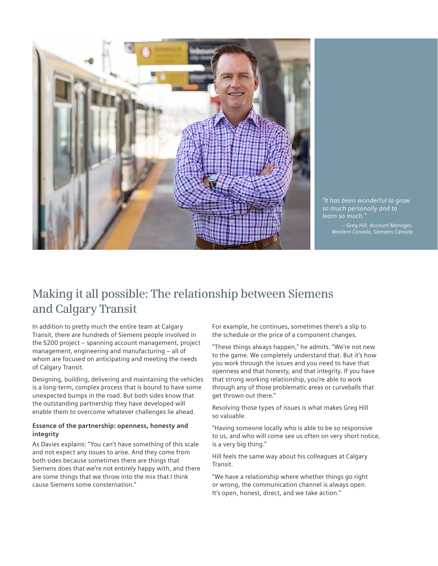

*"It has been wonderful to grow so much personally and to learn so much."*

*– Greg Hill, Account Manager, Western Canada, Siemens Canada*

## **Making it all possible: The relationship between Siemens and Calgary Transit**

In addition to pretty much the entire team at Calgary Transit, there are hundreds of Siemens people involved in the S200 project – spanning account management, project management, engineering and manufacturing – all of whom are focused on anticipating and meeting the needs of Calgary Transit.

Designing, building, delivering and maintaining the vehicles is a long-term, complex process that is bound to have some unexpected bumps in the road. But both sides know that the outstanding partnership they have developed will enable them to overcome whatever challenges lie ahead.

#### **Essence of the partnership: openness, honesty and integrity**

As Davies explains: "You can't have something of this scale and not expect any issues to arise. And they come from both sides because sometimes there are things that Siemens does that we're not entirely happy with, and there are some things that we throw into the mix that I think cause Siemens some consternation."

For example, he continues, sometimes there's a slip to the schedule or the price of a component changes.

"These things always happen," he admits. "We're not new to the game. We completely understand that. But it's how you work through the issues and you need to have that openness and that honesty, and that integrity. If you have that strong working relationship, you're able to work through any of those problematic areas or curveballs that get thrown out there."

Resolving those types of issues is what makes Greg Hill so valuable.

"Having someone locally who is able to be so responsive to us, and who will come see us often on very short notice, is a very big thing."

Hill feels the same way about his colleagues at Calgary Transit.

"We have a relationship where whether things go right or wrong, the communication channel is always open. It's open, honest, direct, and we take action."